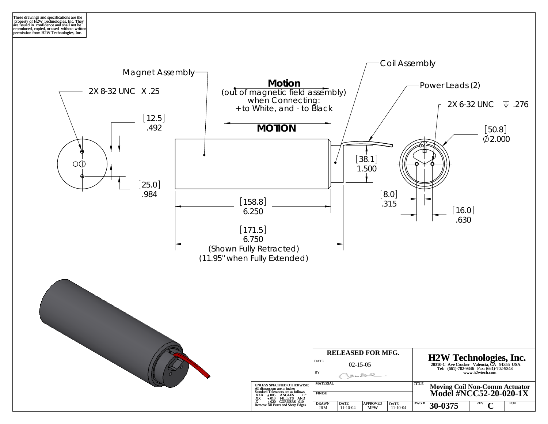